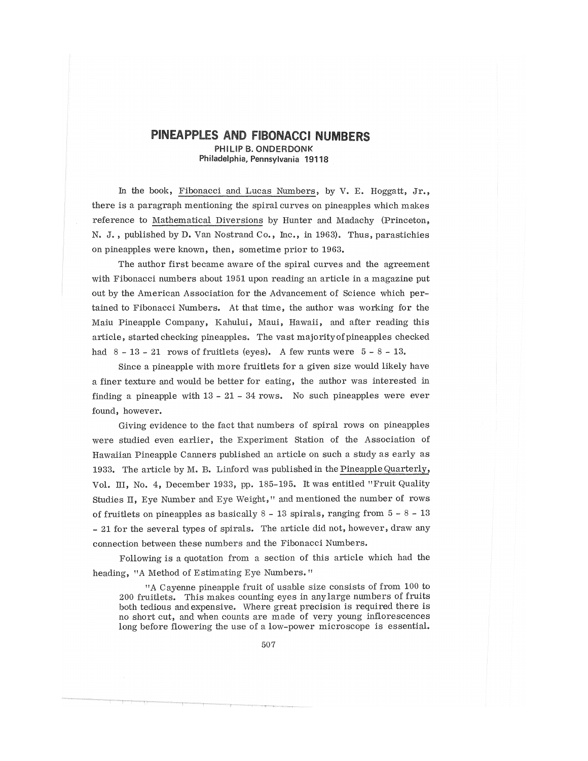## PINEAPPLES AND FIBONACCI NUMBERS

PHILIP B.ONDERDONK Philadelphia, Pennsylvania 19118

In the book, Fibonacci and Lucas Numbers, by V. E. Hoggatt, Jr., there is a paragraph mentioning the spiral curves on pineapples which makes reference to Mathematical Diversions by Hunter and Madachy (Princeton, N. J., published by D. Van Nostrand Co., Inc., in 1963). Thus, parastichies on pineapples were known, then, sometime prior to 1963.

The author first became aware of the spiral curves and the agreement with Fibonacci numbers about 1951 upon reading an article in a magazine put out by the American Association for the Advancement of Science which pertained to Fibonacci Numbers. At that time, the author was working for the Maiu Pineapple Company, Kahului, Maui, Hawaii, and after reading this article, started checking pineapples. The vast majority of pineapples checked had  $8 - 13 - 21$  rows of fruitlets (eyes). A few runts were  $5 - 8 - 13$ .

Since a pineapple with more fruitlets for a given size would likely have a finer texture and would be better for eating, the author was interested in finding a pineapple with  $13 - 21 - 34$  rows. No such pineapples were ever found, however.

Giving evidence to the fact that numbers of spiral rows on pineapples were studied even earlier, the Experiment Station of the Association of Hawaiian Pineapple Canners published an article on such a study as early as 1933. The article by M. B. Linford was published in the Pineapple Quarterly, Vol. III, No. 4, December 1933, pp. 185-195. It was entitled "Fruit Quality Studies II, Eye Number and Eye Weight," and mentioned the number of rows. of fruitlets on pineapples as basically  $8 - 13$  spirals, ranging from  $5 - 8 - 13$ - 21 for the several types of spirals. The article did not, however, draw any connection between these numbers and the Fibonacci Numbers.

Following is a quotation from a section of this article which had the heading, "A Method of Estimating Eye Numbers."

"A Cayenne pineapple fruit of usable size consists of from 100 to 200 fruitlets. This makes counting eyes in any large numbers of fruits both tedious and expensive. Where great precision is required there is no short cut, and when counts are made of very young inflorescences long before flowering the use of a low-power microscope is essential.